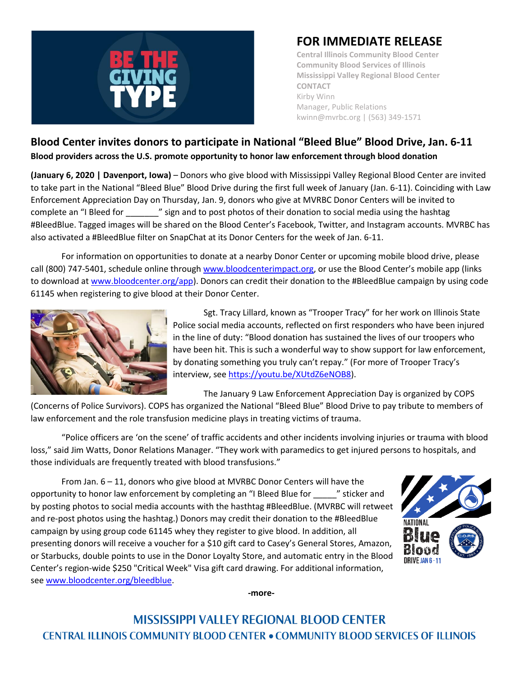

## **FOR IMMEDIATE RELEASE**

**Central Illinois Community Blood Center Community Blood Services of Illinois Mississippi Valley Regional Blood Center CONTACT** Kirby Winn Manager, Public Relations kwinn@mvrbc.org | (563) 349-1571

## **Blood Center invites donors to participate in National "Bleed Blue" Blood Drive, Jan. 6-11 Blood providers across the U.S. promote opportunity to honor law enforcement through blood donation**

**(January 6, 2020 | Davenport, Iowa)** – Donors who give blood with Mississippi Valley Regional Blood Center are invited to take part in the National "Bleed Blue" Blood Drive during the first full week of January (Jan. 6-11). Coinciding with Law Enforcement Appreciation Day on Thursday, Jan. 9, donors who give at MVRBC Donor Centers will be invited to complete an "I Bleed for \_\_\_\_\_\_\_" sign and to post photos of their donation to social media using the hashtag #BleedBlue. Tagged images will be shared on the Blood Center's Facebook, Twitter, and Instagram accounts. MVRBC has also activated a #BleedBlue filter on SnapChat at its Donor Centers for the week of Jan. 6-11.

For information on opportunities to donate at a nearby Donor Center or upcoming mobile blood drive, please call (800) 747-5401, schedule online through [www.bloodcenterimpact.org,](http://www.bloodcenterimpact.org/) or use the Blood Center's mobile app (links to download a[t www.bloodcenter.org/app\)](http://www.bloodcenter.org/app). Donors can credit their donation to the #BleedBlue campaign by using code 61145 when registering to give blood at their Donor Center.



Sgt. Tracy Lillard, known as "Trooper Tracy" for her work on Illinois State Police social media accounts, reflected on first responders who have been injured in the line of duty: "Blood donation has sustained the lives of our troopers who have been hit. This is such a wonderful way to show support for law enforcement, by donating something you truly can't repay." (For more of Trooper Tracy's interview, se[e https://youtu.be/XUtdZ6eNOB8\)](https://youtu.be/XUtdZ6eNOB8).

The January 9 Law Enforcement Appreciation Day is organized by COPS

(Concerns of Police Survivors). COPS has organized the National "Bleed Blue" Blood Drive to pay tribute to members of law enforcement and the role transfusion medicine plays in treating victims of trauma.

"Police officers are 'on the scene' of traffic accidents and other incidents involving injuries or trauma with blood loss," said Jim Watts, Donor Relations Manager. "They work with paramedics to get injured persons to hospitals, and those individuals are frequently treated with blood transfusions."

From Jan. 6 – 11, donors who give blood at MVRBC Donor Centers will have the opportunity to honor law enforcement by completing an "I Bleed Blue for \_\_\_\_\_" sticker and by posting photos to social media accounts with the hasthtag #BleedBlue. (MVRBC will retweet and re-post photos using the hashtag.) Donors may credit their donation to the #BleedBlue campaign by using group code 61145 whey they register to give blood. In addition, all presenting donors will receive a voucher for a \$10 gift card to Casey's General Stores, Amazon, or Starbucks, double points to use in the Donor Loyalty Store, and automatic entry in the Blood Center's region-wide \$250 "Critical Week" Visa gift card drawing. For additional information, se[e www.bloodcenter.org/bleedblue.](http://www.bloodcenter.org/bleedblue)



**-more-**

## **MISSISSIPPI VALLEY REGIONAL BLOOD CENTER CENTRAL ILLINOIS COMMUNITY BLOOD CENTER . COMMUNITY BLOOD SERVICES OF ILLINOIS**